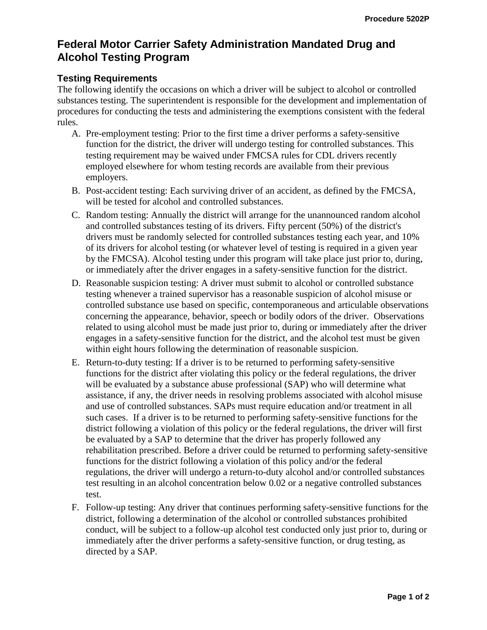## **Federal Motor Carrier Safety Administration Mandated Drug and Alcohol Testing Program**

## **Testing Requirements**

The following identify the occasions on which a driver will be subject to alcohol or controlled substances testing. The superintendent is responsible for the development and implementation of procedures for conducting the tests and administering the exemptions consistent with the federal rules.

- A. Pre-employment testing: Prior to the first time a driver performs a safety-sensitive function for the district, the driver will undergo testing for controlled substances. This testing requirement may be waived under FMCSA rules for CDL drivers recently employed elsewhere for whom testing records are available from their previous employers.
- B. Post-accident testing: Each surviving driver of an accident, as defined by the FMCSA, will be tested for alcohol and controlled substances.
- C. Random testing: Annually the district will arrange for the unannounced random alcohol and controlled substances testing of its drivers. Fifty percent (50%) of the district's drivers must be randomly selected for controlled substances testing each year, and 10% of its drivers for alcohol testing (or whatever level of testing is required in a given year by the FMCSA). Alcohol testing under this program will take place just prior to, during, or immediately after the driver engages in a safety-sensitive function for the district.
- D. Reasonable suspicion testing: A driver must submit to alcohol or controlled substance testing whenever a trained supervisor has a reasonable suspicion of alcohol misuse or controlled substance use based on specific, contemporaneous and articulable observations concerning the appearance, behavior, speech or bodily odors of the driver. Observations related to using alcohol must be made just prior to, during or immediately after the driver engages in a safety-sensitive function for the district, and the alcohol test must be given within eight hours following the determination of reasonable suspicion.
- E. Return-to-duty testing: If a driver is to be returned to performing safety-sensitive functions for the district after violating this policy or the federal regulations, the driver will be evaluated by a substance abuse professional (SAP) who will determine what assistance, if any, the driver needs in resolving problems associated with alcohol misuse and use of controlled substances. SAPs must require education and/or treatment in all such cases. If a driver is to be returned to performing safety-sensitive functions for the district following a violation of this policy or the federal regulations, the driver will first be evaluated by a SAP to determine that the driver has properly followed any rehabilitation prescribed. Before a driver could be returned to performing safety-sensitive functions for the district following a violation of this policy and/or the federal regulations, the driver will undergo a return-to-duty alcohol and/or controlled substances test resulting in an alcohol concentration below 0.02 or a negative controlled substances test.
- F. Follow-up testing: Any driver that continues performing safety-sensitive functions for the district, following a determination of the alcohol or controlled substances prohibited conduct, will be subject to a follow-up alcohol test conducted only just prior to, during or immediately after the driver performs a safety-sensitive function, or drug testing, as directed by a SAP.